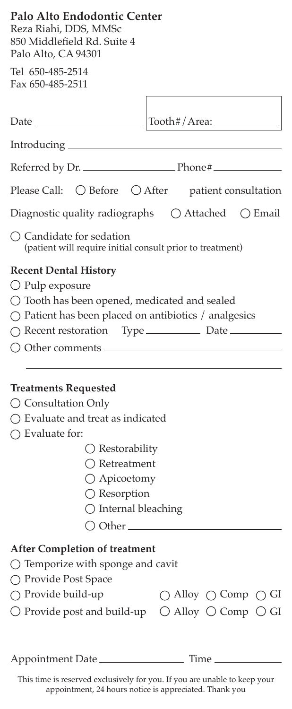| Palo Alto Endodontic Center<br>Reza Riahi, DDS, MMSc<br>850 Middlefield Rd. Suite 4<br>Palo Alto, CA 94301                                                                                                                                                                               |                                                                                                                                       |
|------------------------------------------------------------------------------------------------------------------------------------------------------------------------------------------------------------------------------------------------------------------------------------------|---------------------------------------------------------------------------------------------------------------------------------------|
| Tel 650-485-2514<br>Fax 650-485-2511                                                                                                                                                                                                                                                     |                                                                                                                                       |
|                                                                                                                                                                                                                                                                                          | Tooth#/Area:                                                                                                                          |
|                                                                                                                                                                                                                                                                                          |                                                                                                                                       |
|                                                                                                                                                                                                                                                                                          |                                                                                                                                       |
| Please Call:                                                                                                                                                                                                                                                                             | $\bigcirc$ Before $\bigcirc$ After patient consultation                                                                               |
|                                                                                                                                                                                                                                                                                          | Diagnostic quality radiographs $\bigcirc$ Attached $\bigcirc$ Email                                                                   |
| $\bigcap$ Candidate for sedation<br>(patient will require initial consult prior to treatment)                                                                                                                                                                                            |                                                                                                                                       |
| <b>Recent Dental History</b><br>$\bigcirc$ Pulp exposure<br>$\bigcirc$ Tooth has been opened, medicated and sealed<br>$\bigcirc$ Patient has been placed on antibiotics / analgesics<br>○ Recent restoration Type <u>_______________</u> Date __________<br>O Other comments             |                                                                                                                                       |
| <b>Treatments Requested</b><br>$\bigcirc$ Consultation Only<br>$\bigcirc$ Evaluate and treat as indicated<br>$\bigcirc$ Evaluate for:<br>$\bigcirc$ Restorability<br>() Retreatment<br>○ Apicoetomy<br>$\bigcirc$ Resorption<br>$\bigcirc$ Internal bleaching<br>$\bigcirc$ Other $\_\_$ |                                                                                                                                       |
| <b>After Completion of treatment</b><br>$\bigcirc$ Temporize with sponge and cavit<br>◯ Provide Post Space<br>$\bigcirc$ Provide build-up                                                                                                                                                | $\bigcirc$ Alloy $\bigcirc$ Comp $\bigcirc$ GI<br>$\bigcirc$ Provide post and build-up $\bigcirc$ Alloy $\bigcirc$ Comp $\bigcirc$ GI |
| Appointment Date                                                                                                                                                                                                                                                                         | Time                                                                                                                                  |

This time is reserved exclusively for you. If you are unable to keep your appointment, 24 hours notice is appreciated. Thank you